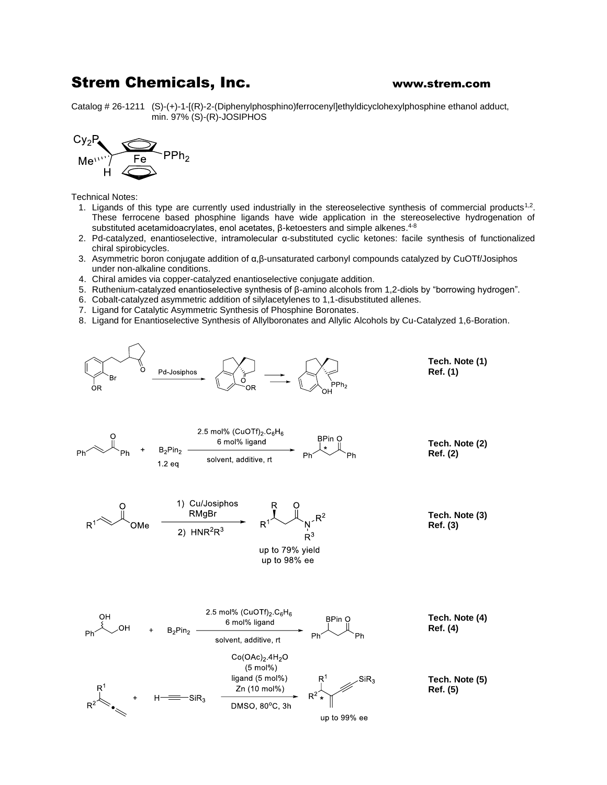## Strem Chemicals, Inc. **WALK** WWW.strem.com

Catalog # 26-1211 (S)-(+)-1-[(R)-2-(Diphenylphosphino)ferrocenyl]ethyldicyclohexylphosphine ethanol adduct, min. 97% (S)-(R)-JOSIPHOS



Technical Notes:

- 1. Ligands of this type are currently used industrially in the stereoselective synthesis of commercial products<sup>1,2</sup>. These ferrocene based phosphine ligands have wide application in the stereoselective hydrogenation of substituted acetamidoacrylates, enol acetates, β-ketoesters and simple alkenes.<sup>4-8</sup>
- 2. Pd-catalyzed, enantioselective, intramolecular α-substituted cyclic ketones: facile synthesis of functionalized chiral spirobicycles.
- 3. Asymmetric boron conjugate addition of α,β-unsaturated carbonyl compounds catalyzed by CuOTf/Josiphos under non-alkaline conditions.
- 4. Chiral amides via copper-catalyzed enantioselective conjugate addition.
- 5. Ruthenium-catalyzed enantioselective synthesis of β-amino alcohols from 1,2-diols by "borrowing hydrogen".
- 6. Cobalt-catalyzed asymmetric addition of silylacetylenes to 1,1-disubstituted allenes.
- 7. Ligand for Catalytic Asymmetric Synthesis of Phosphine Boronates.
- 8. Ligand for Enantioselective Synthesis of Allylboronates and Allylic Alcohols by Cu-Catalyzed 1,6-Boration.